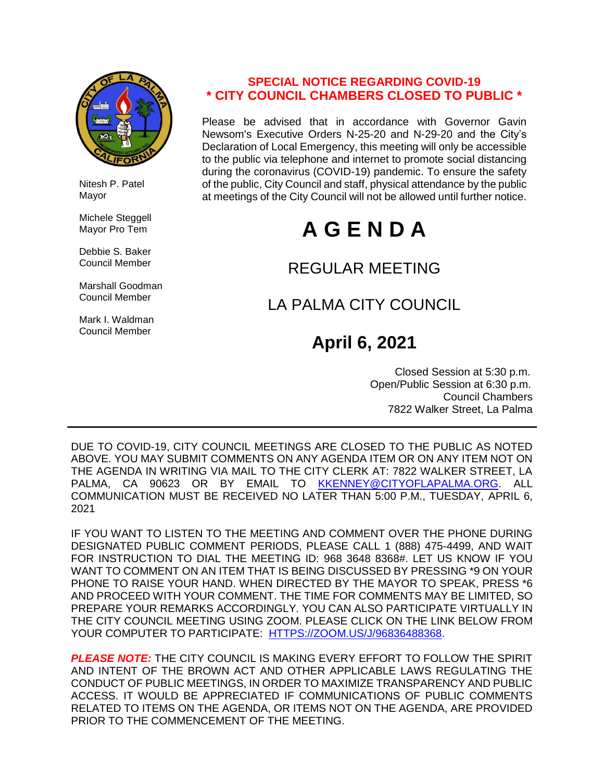

 Nitesh P. Patel Mayor

 Michele Steggell Mayor Pro Tem

 Debbie S. Baker Council Member

 Marshall Goodman Council Member

 Mark I. Waldman Council Member

### **SPECIAL NOTICE REGARDING COVID-19 \* CITY COUNCIL CHAMBERS CLOSED TO PUBLIC \***

Please be advised that in accordance with Governor Gavin Newsom's Executive Orders N-25-20 and N-29-20 and the City's Declaration of Local Emergency, this meeting will only be accessible to the public via telephone and internet to promote social distancing during the coronavirus (COVID-19) pandemic. To ensure the safety of the public, City Council and staff, physical attendance by the public at meetings of the City Council will not be allowed until further notice.

# **A G E N D A**

## REGULAR MEETING

# LA PALMA CITY COUNCIL

# **April 6, 2021**

 Closed Session at 5:30 p.m. Open/Public Session at 6:30 p.m. Council Chambers 7822 Walker Street, La Palma

DUE TO COVID-19, CITY COUNCIL MEETINGS ARE CLOSED TO THE PUBLIC AS NOTED ABOVE. YOU MAY SUBMIT COMMENTS ON ANY AGENDA ITEM OR ON ANY ITEM NOT ON THE AGENDA IN WRITING VIA MAIL TO THE CITY CLERK AT: 7822 WALKER STREET, LA PALMA. CA 90623 OR BY EMAIL TO [KKENNEY@CITYOFLAPALMA.ORG.](mailto:KKENNEY@CITYOFLAPALMA.ORG) ALL COMMUNICATION MUST BE RECEIVED NO LATER THAN 5:00 P.M., TUESDAY, APRIL 6, 2021

IF YOU WANT TO LISTEN TO THE MEETING AND COMMENT OVER THE PHONE DURING DESIGNATED PUBLIC COMMENT PERIODS, PLEASE CALL 1 (888) 475-4499, AND WAIT FOR INSTRUCTION TO DIAL THE MEETING ID: 968 3648 8368#. LET US KNOW IF YOU WANT TO COMMENT ON AN ITEM THAT IS BEING DISCUSSED BY PRESSING \*9 ON YOUR PHONE TO RAISE YOUR HAND. WHEN DIRECTED BY THE MAYOR TO SPEAK, PRESS \*6 AND PROCEED WITH YOUR COMMENT. THE TIME FOR COMMENTS MAY BE LIMITED, SO PREPARE YOUR REMARKS ACCORDINGLY. YOU CAN ALSO PARTICIPATE VIRTUALLY IN THE CITY COUNCIL MEETING USING ZOOM. PLEASE CLICK ON THE LINK BELOW FROM YOUR COMPUTER TO PARTICIPATE: [HTTPS://ZOOM.US/J/96836488368.](https://zoom.us/j/96836488368)

*PLEASE NOTE:* THE CITY COUNCIL IS MAKING EVERY EFFORT TO FOLLOW THE SPIRIT AND INTENT OF THE BROWN ACT AND OTHER APPLICABLE LAWS REGULATING THE CONDUCT OF PUBLIC MEETINGS, IN ORDER TO MAXIMIZE TRANSPARENCY AND PUBLIC ACCESS. IT WOULD BE APPRECIATED IF COMMUNICATIONS OF PUBLIC COMMENTS RELATED TO ITEMS ON THE AGENDA, OR ITEMS NOT ON THE AGENDA, ARE PROVIDED PRIOR TO THE COMMENCEMENT OF THE MEETING.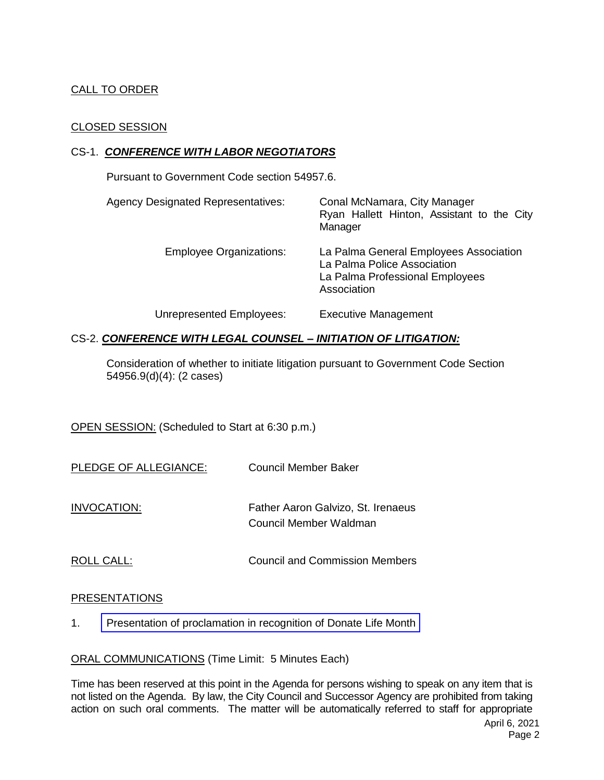#### CALL TO ORDER

#### CLOSED SESSION

#### CS-1. *CONFERENCE WITH LABOR NEGOTIATORS*

Pursuant to Government Code section 54957.6.

| <b>Agency Designated Representatives:</b> | Conal McNamara, City Manager<br>Ryan Hallett Hinton, Assistant to the City<br>Manager                                   |
|-------------------------------------------|-------------------------------------------------------------------------------------------------------------------------|
| <b>Employee Organizations:</b>            | La Palma General Employees Association<br>La Palma Police Association<br>La Palma Professional Employees<br>Association |
| Unrepresented Employees:                  | <b>Executive Management</b>                                                                                             |

#### CS-2. *CONFERENCE WITH LEGAL COUNSEL – INITIATION OF LITIGATION:*

Consideration of whether to initiate litigation pursuant to Government Code Section 54956.9(d)(4): (2 cases)

OPEN SESSION: (Scheduled to Start at 6:30 p.m.)

| PLEDGE OF ALLEGIANCE: | Council Member Baker               |
|-----------------------|------------------------------------|
|                       |                                    |
| INVOCATION:           | Father Aaron Galvizo, St. Irenaeus |

Council Member Waldman

ROLL CALL: COUNCIL COUNCIL AND COUNCIL AND COUNCIL AND COUNCIL AND COUNCIL AND COUNCIL AND COUNCIL AT A COUNCIL AND COUNCIL AT A COUNCIL AT A COUNCIL AND COUNCIL AND COUNCIL AT A COUNCIL AND COUNCIL AT A COUNCIL AND COUNCI

#### PRESENTATIONS

1. [Presentation of proclamation in recognition of Donate Life Month](https://www.cityoflapalma.org/DocumentCenter/View/10834/Proclamation_Donate-Life)

ORAL COMMUNICATIONS (Time Limit: 5 Minutes Each)

Time has been reserved at this point in the Agenda for persons wishing to speak on any item that is not listed on the Agenda. By law, the City Council and Successor Agency are prohibited from taking action on such oral comments. The matter will be automatically referred to staff for appropriate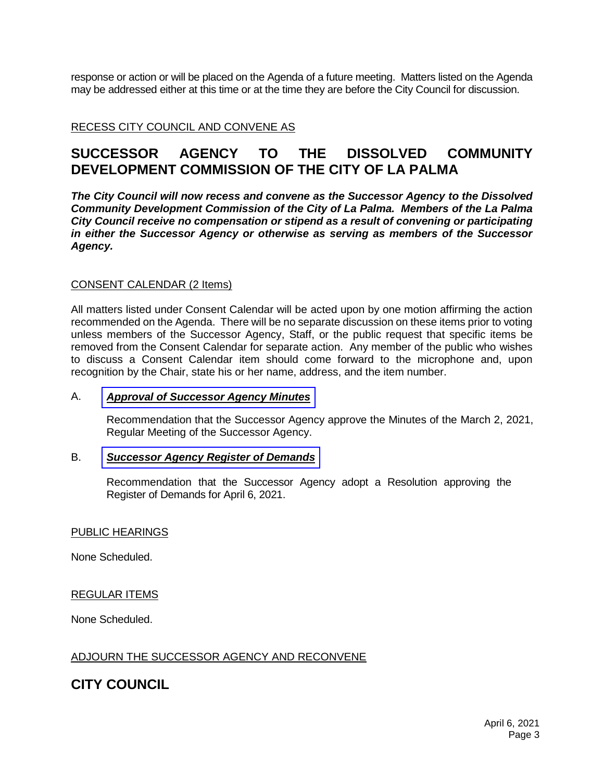response or action or will be placed on the Agenda of a future meeting. Matters listed on the Agenda may be addressed either at this time or at the time they are before the City Council for discussion.

RECESS CITY COUNCIL AND CONVENE AS

### **SUCCESSOR AGENCY TO THE DISSOLVED COMMUNITY DEVELOPMENT COMMISSION OF THE CITY OF LA PALMA**

*The City Council will now recess and convene as the Successor Agency to the Dissolved Community Development Commission of the City of La Palma. Members of the La Palma City Council receive no compensation or stipend as a result of convening or participating in either the Successor Agency or otherwise as serving as members of the Successor Agency.*

#### CONSENT CALENDAR (2 Items)

All matters listed under Consent Calendar will be acted upon by one motion affirming the action recommended on the Agenda. There will be no separate discussion on these items prior to voting unless members of the Successor Agency, Staff, or the public request that specific items be removed from the Consent Calendar for separate action. Any member of the public who wishes to discuss a Consent Calendar item should come forward to the microphone and, upon recognition by the Chair, state his or her name, address, and the item number.

#### A. *Approval of [Successor](https://www.cityoflapalma.org/DocumentCenter/View/10832/Item-A_SA-Minutes-030221) Agency Minutes*

Recommendation that the Successor Agency approve the Minutes of the March 2, 2021, Regular Meeting of the Successor Agency.

#### B. *[Successor Agency Register of Demands](https://www.cityoflapalma.org/DocumentCenter/View/10833/Item-B_SA-Warrants-Resolution-WEB)*

Recommendation that the Successor Agency adopt a Resolution approving the Register of Demands for April 6, 2021.

#### PUBLIC HEARINGS

None Scheduled.

#### REGULAR ITEMS

None Scheduled.

#### ADJOURN THE SUCCESSOR AGENCY AND RECONVENE

### **CITY COUNCIL**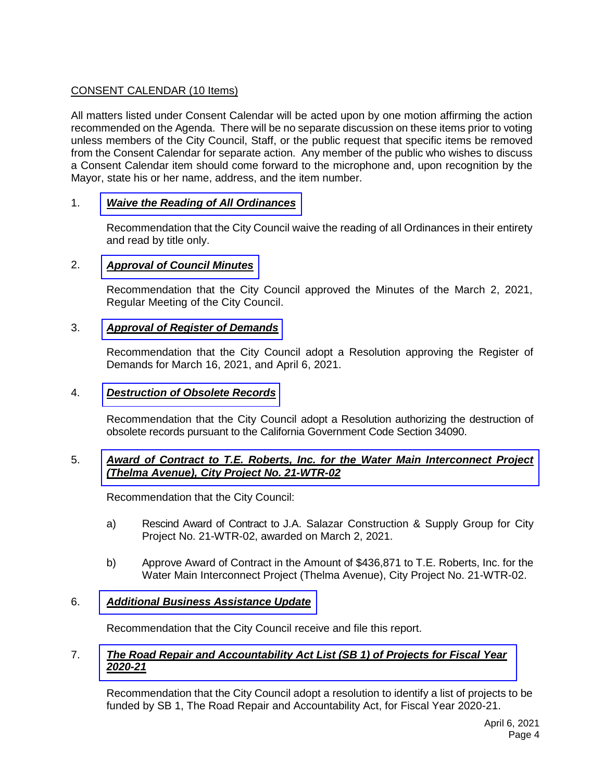#### CONSENT CALENDAR (10 Items)

All matters listed under Consent Calendar will be acted upon by one motion affirming the action recommended on the Agenda. There will be no separate discussion on these items prior to voting unless members of the City Council, Staff, or the public request that specific items be removed from the Consent Calendar for separate action. Any member of the public who wishes to discuss a Consent Calendar item should come forward to the microphone and, upon recognition by the Mayor, state his or her name, address, and the item number.

#### 1. *[Waive the Reading of All Ordinances](https://www.cityoflapalma.org/DocumentCenter/View/10835/Item-1_Read-Ordinances-by-Title)*

Recommendation that the City Council waive the reading of all Ordinances in their entirety and read by title only.

#### 2. *[Approval of Council Minutes](https://www.cityoflapalma.org/DocumentCenter/View/10836/Item-2_City-Council-Minutes)*

Recommendation that the City Council approved the Minutes of the March 2, 2021, Regular Meeting of the City Council.

#### 3. *[Approval of Register of Demands](https://www.cityoflapalma.org/DocumentCenter/View/10837/Item-3_CC-Warrants-Resolution-WEB)*

Recommendation that the City Council adopt a Resolution approving the Register of Demands for March 16, 2021, and April 6, 2021.

#### 4. *[Destruction of Obsolete Records](https://www.cityoflapalma.org/DocumentCenter/View/10838/Item-4_Records-Destruction-04-2021)*

Recommendation that the City Council adopt a Resolution authorizing the destruction of obsolete records pursuant to the California Government Code Section 34090.

#### 5. *[Award of Contract to T.E. Roberts, Inc. for the Water Main Interconnect Project](https://www.cityoflapalma.org/DocumentCenter/View/10839/Item-5_AOC-to-TE-Roberts_21-WTR-02)  (Thelma Avenue), City Project No. 21-WTR-02*

Recommendation that the City Council:

- a) Rescind Award of Contract to J.A. Salazar Construction & Supply Group for City Project No. 21-WTR-02, awarded on March 2, 2021.
- b) Approve Award of Contract in the Amount of \$436,871 to T.E. Roberts, Inc. for the Water Main Interconnect Project (Thelma Avenue), City Project No. 21-WTR-02.

#### 6. *[Additional Business Assistance Update](https://www.cityoflapalma.org/DocumentCenter/View/10840/Item-6_Additional-Business-Assistance-Update)*

Recommendation that the City Council receive and file this report.

#### 7. *[The Road Repair and Accountability Act List \(SB 1\) of Projects for Fiscal Year](https://www.cityoflapalma.org/DocumentCenter/View/10841/Item-7_RMRA-Funding-Resolution)  2020-21*

Recommendation that the City Council adopt a resolution to identify a list of projects to be funded by SB 1, The Road Repair and Accountability Act, for Fiscal Year 2020-21.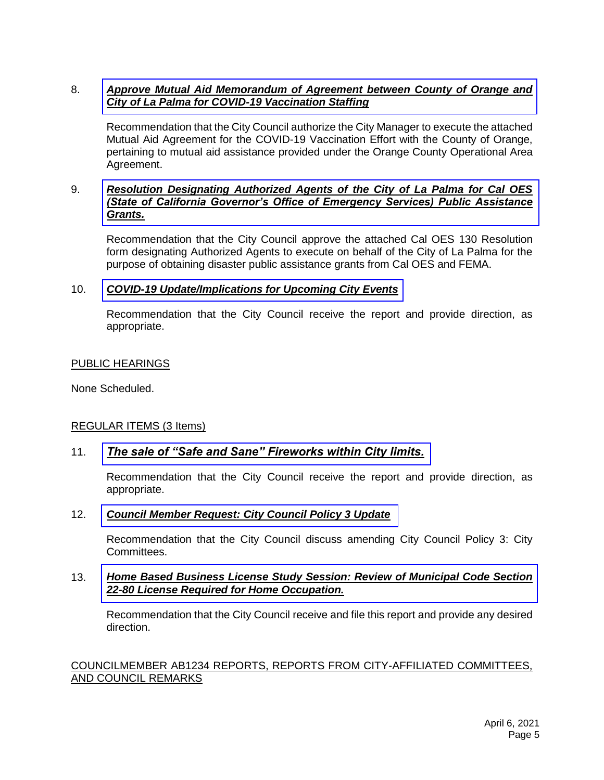#### 8. *[Approve Mutual Aid Memorandum of Agreement between County of Orange and](https://www.cityoflapalma.org/DocumentCenter/View/10826/Item-8_Mutual-Aid-MOU)  City of La Palma for COVID-19 Vaccination Staffing*

Recommendation that the City Council authorize the City Manager to execute the attached Mutual Aid Agreement for the COVID-19 Vaccination Effort with the County of Orange, pertaining to mutual aid assistance provided under the Orange County Operational Area Agreement.

#### 9. *[Resolution Designating Authorized Agents of the City of La Palma for Cal OES](https://www.cityoflapalma.org/DocumentCenter/View/10827/Item-9_Cal-OES-Reso_Web-Version)  (State of California Governor's Office of Emergency Services) Public Assistance Grants.*

Recommendation that the City Council approve the attached Cal OES 130 Resolution form designating Authorized Agents to execute on behalf of the City of La Palma for the purpose of obtaining disaster public assistance grants from Cal OES and FEMA.

#### 10. *[COVID-19 Update/Implications for Upcoming City Events](https://www.cityoflapalma.org/DocumentCenter/View/10828/Item-10_COVID-19-Update-4-6-21)*

Recommendation that the City Council receive the report and provide direction, as appropriate.

#### PUBLIC HEARINGS

None Scheduled.

#### REGULAR ITEMS (3 Items)

#### 11. *[The sale of "Safe and Sane" Fireworks within City limits.](https://www.cityoflapalma.org/DocumentCenter/View/10829/Item-11_Fireworks-Sales-Direction-Change)*

Recommendation that the City Council receive the report and provide direction, as appropriate.

#### 12. *[Council Member Request: City Council Policy 3 Update](https://www.cityoflapalma.org/DocumentCenter/View/10830/Item-12_Council-Policy-Amendment)*

Recommendation that the City Council discuss amending City Council Policy 3: City Committees.

#### 13. *[Home Based Business License Study Session: Review of Municipal Code Section](https://www.cityoflapalma.org/DocumentCenter/View/10831/Item-13_Study-Session_Home-Based-Business)  22-80 License Required for Home Occupation.*

Recommendation that the City Council receive and file this report and provide any desired direction.

#### COUNCILMEMBER AB1234 REPORTS, REPORTS FROM CITY-AFFILIATED COMMITTEES, AND COUNCIL REMARKS